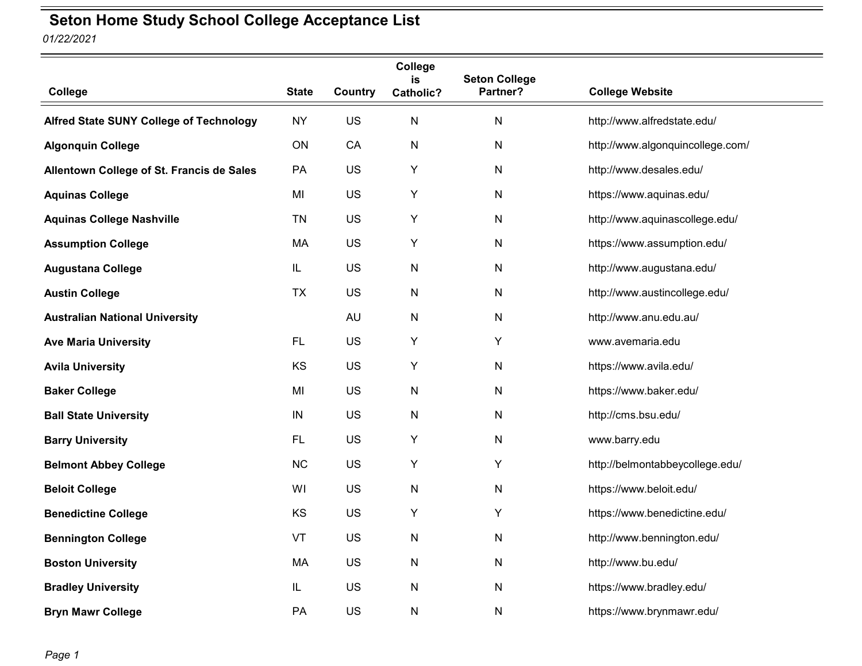## *01/22/2021* **Seton Home Study School College Acceptance List**

**College State Country College is Catholic? Seton College College Website** Alfred State SUNY College of Technology NY US N N http://www.alfredstate.edu/ **Algonquin College ON** CA N N http://www.algonquincollege.com/ Allentown College of St. Francis de Sales PA US Y N http://www.desales.edu/ Aquinas College **MI** US Y N https://www.aquinas.edu/ **Aquinas College Nashville** TN US Y N http://www.aquinascollege.edu/ Assumption College **MA** US Y N https://www.assumption.edu/ **Augustana College** The Tensor College IL US Network Network Network http://www.augustana.edu/ **Austin College** TX US N N http://www.austincollege.edu/ **Australian National University** AU N N http://www.anu.edu.au/ **Ave Maria University FL** US Y Y Y www.avemaria.edu Avila University **KS** US Y N https://www.avila.edu/ **Baker College** MI US N N https://www.baker.edu/ **Ball State University IN** US N N http://cms.bsu.edu/ **Barry University FL** US Y N www.barry.edu **Belmont Abbey College** NC US Y Y http://belmontabbeycollege.edu/ **Beloit College** MI US N N https://www.beloit.edu/ **Benedictine College** KS US Y Y https://www.benedictine.edu/ **Bennington College N** VT US N N N http://www.bennington.edu/ **Boston University Contract Contract Administration MA** US N N N http://www.bu.edu/ **Bradley University IL** US N N https://www.bradley.edu/ **Bryn Mawr College PA** US N N https://www.brynmawr.edu/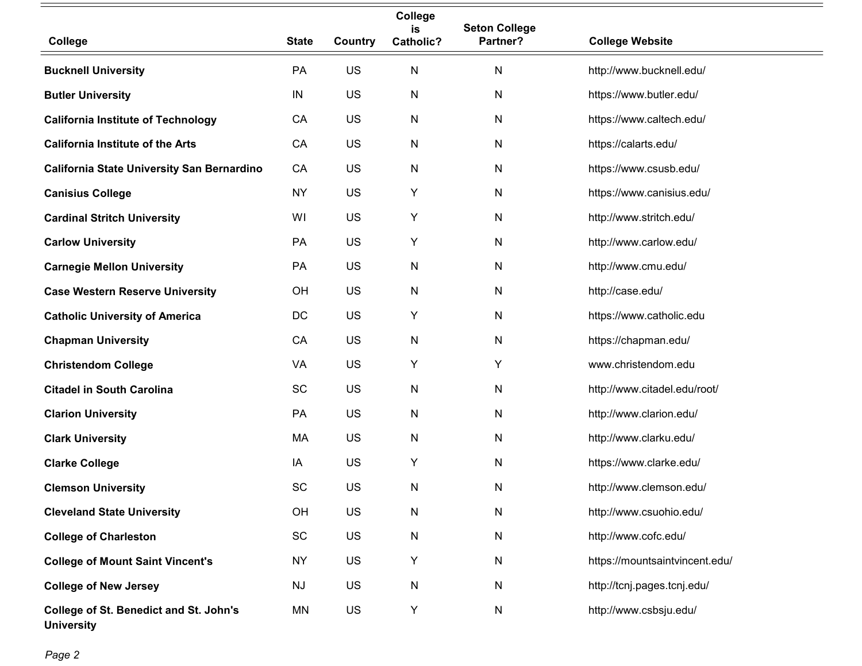|                                                             |              |         | College<br>is    | <b>Seton College</b> |                                |
|-------------------------------------------------------------|--------------|---------|------------------|----------------------|--------------------------------|
| College                                                     | <b>State</b> | Country | <b>Catholic?</b> | Partner?             | <b>College Website</b>         |
| <b>Bucknell University</b>                                  | PA           | US      | $\mathsf{N}$     | N                    | http://www.bucknell.edu/       |
| <b>Butler University</b>                                    | IN           | US      | $\mathsf{N}$     | $\mathsf{N}$         | https://www.butler.edu/        |
| <b>California Institute of Technology</b>                   | CA           | US      | N                | $\mathsf{N}$         | https://www.caltech.edu/       |
| <b>California Institute of the Arts</b>                     | CA           | US      | N                | $\mathsf{N}$         | https://calarts.edu/           |
| <b>California State University San Bernardino</b>           | CA           | US      | N                | $\mathsf{N}$         | https://www.csusb.edu/         |
| <b>Canisius College</b>                                     | <b>NY</b>    | US      | Y                | ${\sf N}$            | https://www.canisius.edu/      |
| <b>Cardinal Stritch University</b>                          | WI           | US      | Y                | ${\sf N}$            | http://www.stritch.edu/        |
| <b>Carlow University</b>                                    | PA           | US      | Υ                | ${\sf N}$            | http://www.carlow.edu/         |
| <b>Carnegie Mellon University</b>                           | PA           | US      | $\mathsf{N}$     | N                    | http://www.cmu.edu/            |
| <b>Case Western Reserve University</b>                      | OH           | US      | $\mathsf{N}$     | $\mathsf{N}$         | http://case.edu/               |
| <b>Catholic University of America</b>                       | DC           | US      | Υ                | N                    | https://www.catholic.edu       |
| <b>Chapman University</b>                                   | CA           | US      | $\mathsf{N}$     | $\mathsf{N}$         | https://chapman.edu/           |
| <b>Christendom College</b>                                  | VA           | US      | Υ                | Υ                    | www.christendom.edu            |
| <b>Citadel in South Carolina</b>                            | SC           | US      | ${\sf N}$        | $\mathsf{N}$         | http://www.citadel.edu/root/   |
| <b>Clarion University</b>                                   | PA           | US      | N                | ${\sf N}$            | http://www.clarion.edu/        |
| <b>Clark University</b>                                     | MA           | US      | N                | N                    | http://www.clarku.edu/         |
| <b>Clarke College</b>                                       | IA           | US      | Y                | ${\sf N}$            | https://www.clarke.edu/        |
| <b>Clemson University</b>                                   | SC           | US      | N                | N                    | http://www.clemson.edu/        |
| <b>Cleveland State University</b>                           | OH           | US      | N                | ${\sf N}$            | http://www.csuohio.edu/        |
| <b>College of Charleston</b>                                | SC           | US      | N                | N                    | http://www.cofc.edu/           |
| <b>College of Mount Saint Vincent's</b>                     | <b>NY</b>    | US      | Υ                | ${\sf N}$            | https://mountsaintvincent.edu/ |
| <b>College of New Jersey</b>                                | <b>NJ</b>    | US      | ${\sf N}$        | ${\sf N}$            | http://tcnj.pages.tcnj.edu/    |
| College of St. Benedict and St. John's<br><b>University</b> | MN           | US      | Y                | ${\sf N}$            | http://www.csbsju.edu/         |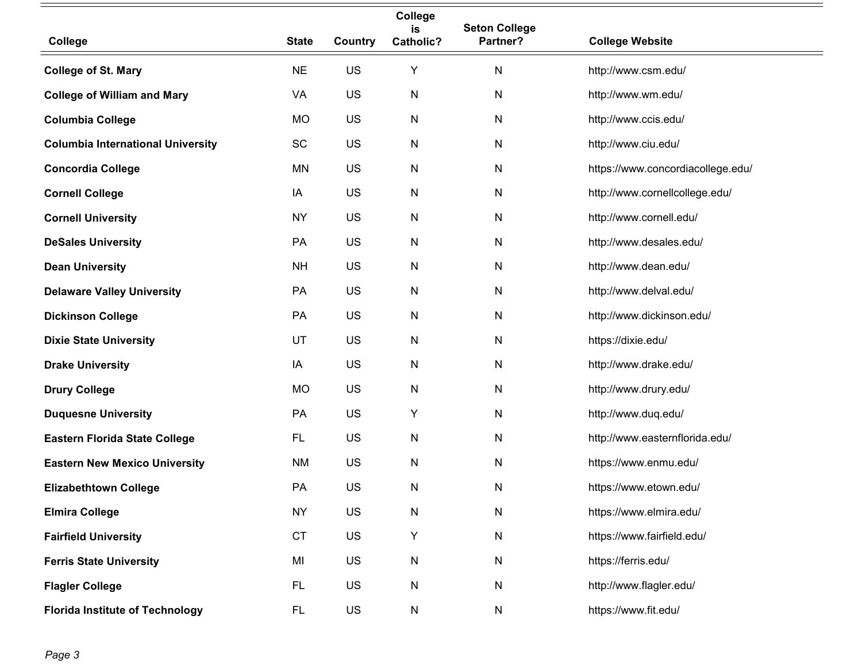|                                          |              |         | College<br>is    | <b>Seton College</b> |                                   |
|------------------------------------------|--------------|---------|------------------|----------------------|-----------------------------------|
| College                                  | <b>State</b> | Country | <b>Catholic?</b> | Partner?             | <b>College Website</b>            |
| <b>College of St. Mary</b>               | <b>NE</b>    | US      | Υ                | N                    | http://www.csm.edu/               |
| <b>College of William and Mary</b>       | VA           | US      | N                | N                    | http://www.wm.edu/                |
| <b>Columbia College</b>                  | <b>MO</b>    | US      | N                | N                    | http://www.ccis.edu/              |
| <b>Columbia International University</b> | SC           | US      | N                | N                    | http://www.ciu.edu/               |
| <b>Concordia College</b>                 | MN           | US      | N                | N                    | https://www.concordiacollege.edu/ |
| <b>Cornell College</b>                   | IA           | US      | N                | N                    | http://www.cornellcollege.edu/    |
| <b>Cornell University</b>                | <b>NY</b>    | US      | N                | N                    | http://www.cornell.edu/           |
| <b>DeSales University</b>                | PA           | US      | N                | N                    | http://www.desales.edu/           |
| <b>Dean University</b>                   | <b>NH</b>    | US      | N                | N                    | http://www.dean.edu/              |
| <b>Delaware Valley University</b>        | PA           | US      | N                | N                    | http://www.delval.edu/            |
| <b>Dickinson College</b>                 | PA           | US      | N                | N                    | http://www.dickinson.edu/         |
| <b>Dixie State University</b>            | UT           | US      | N                | N                    | https://dixie.edu/                |
| <b>Drake University</b>                  | IA           | US      | N                | N                    | http://www.drake.edu/             |
| <b>Drury College</b>                     | <b>MO</b>    | US      | N                | N                    | http://www.drury.edu/             |
| <b>Duquesne University</b>               | PA           | US      | Υ                | N                    | http://www.duq.edu/               |
| <b>Eastern Florida State College</b>     | <b>FL</b>    | US      | N                | N                    | http://www.easternflorida.edu/    |
| <b>Eastern New Mexico University</b>     | <b>NM</b>    | US      | N                | N                    | https://www.enmu.edu/             |
| <b>Elizabethtown College</b>             | PA           | US      | N                | N                    | https://www.etown.edu/            |
| <b>Elmira College</b>                    | <b>NY</b>    | US      | N                | ${\sf N}$            | https://www.elmira.edu/           |
| <b>Fairfield University</b>              | CT           | US      | Υ                | N                    | https://www.fairfield.edu/        |
| <b>Ferris State University</b>           | MI           | US      | N                | N                    | https://ferris.edu/               |
| <b>Flagler College</b>                   | FL.          | US      | N                | $\mathsf{N}$         | http://www.flagler.edu/           |
| <b>Florida Institute of Technology</b>   | FL.          | US      | N                | N                    | https://www.fit.edu/              |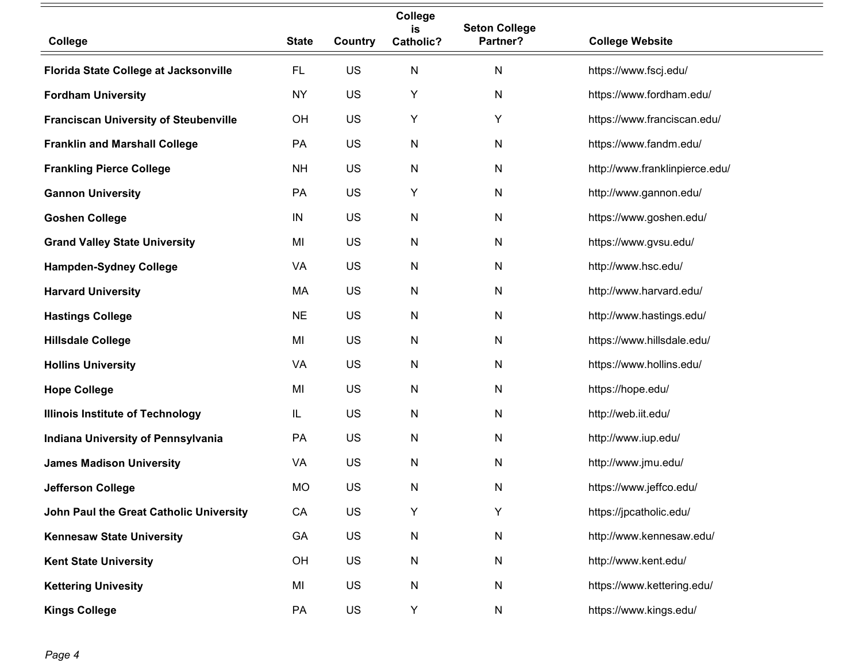|                                              |              |         | College<br>is    | <b>Seton College</b> |                                |
|----------------------------------------------|--------------|---------|------------------|----------------------|--------------------------------|
| College                                      | <b>State</b> | Country | <b>Catholic?</b> | Partner?             | <b>College Website</b>         |
| Florida State College at Jacksonville        | FL.          | US      | N                | N                    | https://www.fscj.edu/          |
| <b>Fordham University</b>                    | <b>NY</b>    | US      | Υ                | N                    | https://www.fordham.edu/       |
| <b>Franciscan University of Steubenville</b> | OH           | US      | Υ                | Υ                    | https://www.franciscan.edu/    |
| <b>Franklin and Marshall College</b>         | <b>PA</b>    | US      | N                | N                    | https://www.fandm.edu/         |
| <b>Frankling Pierce College</b>              | <b>NH</b>    | US      | N                | N                    | http://www.franklinpierce.edu/ |
| <b>Gannon University</b>                     | PA           | US      | Υ                | ${\sf N}$            | http://www.gannon.edu/         |
| <b>Goshen College</b>                        | IN           | US      | N                | N                    | https://www.goshen.edu/        |
| <b>Grand Valley State University</b>         | MI           | US      | N                | N                    | https://www.gvsu.edu/          |
| <b>Hampden-Sydney College</b>                | VA           | US      | N                | N                    | http://www.hsc.edu/            |
| <b>Harvard University</b>                    | MA           | US      | N                | N                    | http://www.harvard.edu/        |
| <b>Hastings College</b>                      | <b>NE</b>    | US      | N                | N                    | http://www.hastings.edu/       |
| <b>Hillsdale College</b>                     | MI           | US      | N                | N                    | https://www.hillsdale.edu/     |
| <b>Hollins University</b>                    | VA           | US      | N                | N                    | https://www.hollins.edu/       |
| <b>Hope College</b>                          | MI           | US      | N                | N                    | https://hope.edu/              |
| <b>Illinois Institute of Technology</b>      | IL           | US      | N                | N                    | http://web.iit.edu/            |
| Indiana University of Pennsylvania           | PA           | US      | N                | N                    | http://www.iup.edu/            |
| <b>James Madison University</b>              | VA           | US      | N                | N                    | http://www.jmu.edu/            |
| <b>Jefferson College</b>                     | <b>MO</b>    | US      | N                | N                    | https://www.jeffco.edu/        |
| John Paul the Great Catholic University      | CA           | US      | Υ                | Y                    | https://jpcatholic.edu/        |
| <b>Kennesaw State University</b>             | GA           | US      | N                | N                    | http://www.kennesaw.edu/       |
| <b>Kent State University</b>                 | OH           | US      | N                | N                    | http://www.kent.edu/           |
| <b>Kettering Univesity</b>                   | MI           | US      | N                | N                    | https://www.kettering.edu/     |
| <b>Kings College</b>                         | PA           | US      | Υ                | N                    | https://www.kings.edu/         |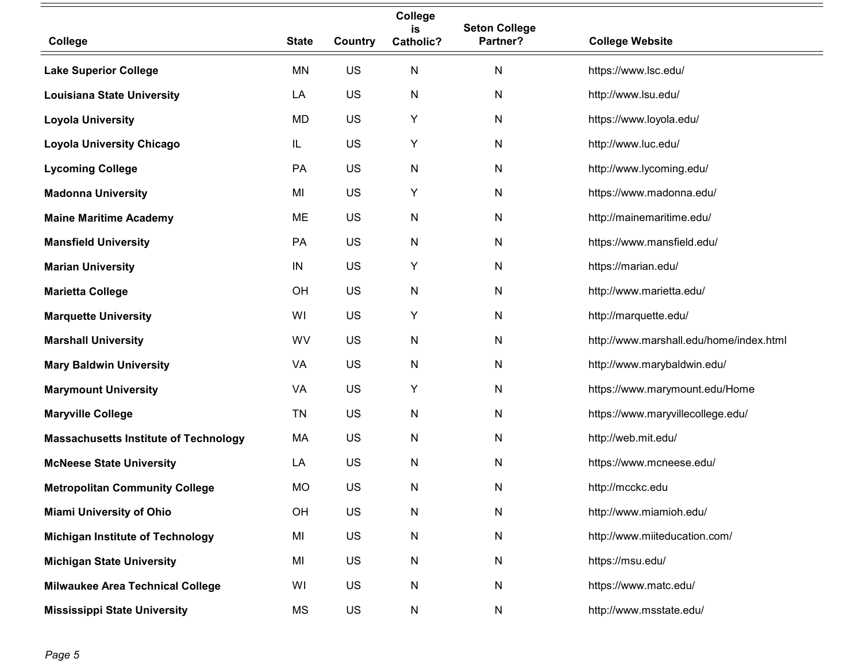|                                              |              |         | College<br>is    | <b>Seton College</b> |                                         |
|----------------------------------------------|--------------|---------|------------------|----------------------|-----------------------------------------|
| College                                      | <b>State</b> | Country | <b>Catholic?</b> | Partner?             | <b>College Website</b>                  |
| <b>Lake Superior College</b>                 | MN           | US      | $\mathsf{N}$     | $\mathsf{N}$         | https://www.lsc.edu/                    |
| <b>Louisiana State University</b>            | LA           | US      | N                | N                    | http://www.lsu.edu/                     |
| <b>Loyola University</b>                     | <b>MD</b>    | US      | Υ                | N                    | https://www.loyola.edu/                 |
| <b>Loyola University Chicago</b>             | IL           | US      | Υ                | N                    | http://www.luc.edu/                     |
| <b>Lycoming College</b>                      | PA           | US      | ${\sf N}$        | $\mathsf{N}$         | http://www.lycoming.edu/                |
| <b>Madonna University</b>                    | MI           | US      | Y                | ${\sf N}$            | https://www.madonna.edu/                |
| <b>Maine Maritime Academy</b>                | ME           | US      | N                | N                    | http://mainemaritime.edu/               |
| <b>Mansfield University</b>                  | PA           | US      | $\mathsf{N}$     | $\mathsf{N}$         | https://www.mansfield.edu/              |
| <b>Marian University</b>                     | IN           | US      | Υ                | N                    | https://marian.edu/                     |
| <b>Marietta College</b>                      | OH           | US      | $\mathsf{N}$     | $\mathsf{N}$         | http://www.marietta.edu/                |
| <b>Marquette University</b>                  | WI           | US      | Y                | N                    | http://marquette.edu/                   |
| <b>Marshall University</b>                   | WV           | US      | N                | N                    | http://www.marshall.edu/home/index.html |
| <b>Mary Baldwin University</b>               | VA           | US      | N                | N                    | http://www.marybaldwin.edu/             |
| <b>Marymount University</b>                  | VA           | US      | Y                | ${\sf N}$            | https://www.marymount.edu/Home          |
| <b>Maryville College</b>                     | <b>TN</b>    | US      | N                | N                    | https://www.maryvillecollege.edu/       |
| <b>Massachusetts Institute of Technology</b> | МA           | US      | N                | ${\sf N}$            | http://web.mit.edu/                     |
| <b>McNeese State University</b>              | LA           | US      | N                | $\mathsf{N}$         | https://www.mcneese.edu/                |
| <b>Metropolitan Community College</b>        | <b>MO</b>    | US      | N                | N                    | http://mcckc.edu                        |
| <b>Miami University of Ohio</b>              | OH           | US      | N                | ${\sf N}$            | http://www.miamioh.edu/                 |
| <b>Michigan Institute of Technology</b>      | MI           | US      | N                | ${\sf N}$            | http://www.miiteducation.com/           |
| <b>Michigan State University</b>             | MI           | US      | N                | ${\sf N}$            | https://msu.edu/                        |
| <b>Milwaukee Area Technical College</b>      | WI           | US      | N                | ${\sf N}$            | https://www.matc.edu/                   |
| <b>Mississippi State University</b>          | MS           | US      | N                | N                    | http://www.msstate.edu/                 |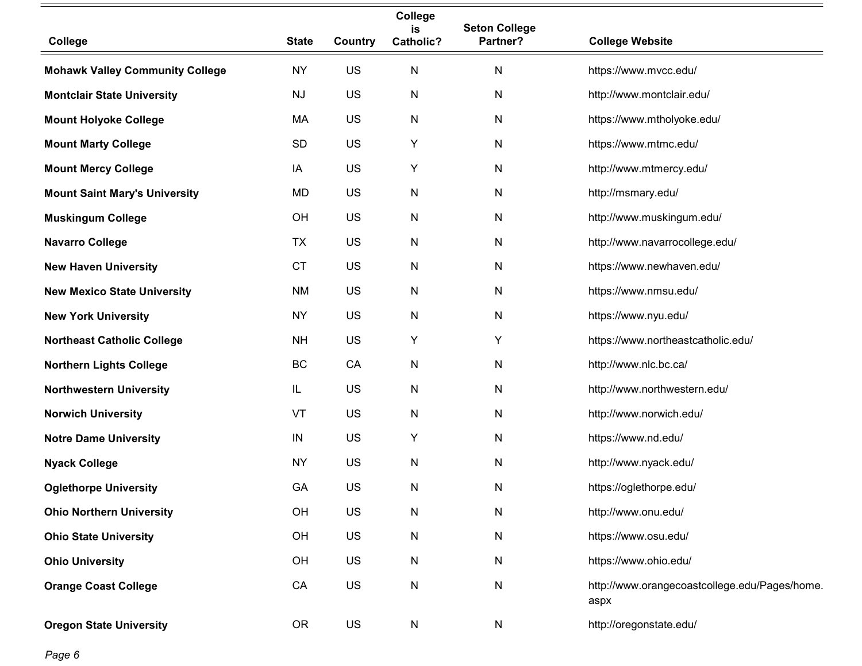|                                        |              |         | College<br>is | <b>Seton College</b> |                                                       |
|----------------------------------------|--------------|---------|---------------|----------------------|-------------------------------------------------------|
| College                                | <b>State</b> | Country | Catholic?     | Partner?             | <b>College Website</b>                                |
| <b>Mohawk Valley Community College</b> | <b>NY</b>    | US      | ${\sf N}$     | $\mathsf{N}$         | https://www.mvcc.edu/                                 |
| <b>Montclair State University</b>      | <b>NJ</b>    | US      | N             | ${\sf N}$            | http://www.montclair.edu/                             |
| <b>Mount Holyoke College</b>           | MA           | US      | $\mathsf{N}$  | $\mathsf{N}$         | https://www.mtholyoke.edu/                            |
| <b>Mount Marty College</b>             | <b>SD</b>    | US      | Υ             | $\mathsf{N}$         | https://www.mtmc.edu/                                 |
| <b>Mount Mercy College</b>             | IA           | US      | Υ             | $\mathsf{N}$         | http://www.mtmercy.edu/                               |
| <b>Mount Saint Mary's University</b>   | <b>MD</b>    | US      | N             | $\mathsf{N}$         | http://msmary.edu/                                    |
| <b>Muskingum College</b>               | OH           | US      | ${\sf N}$     | $\mathsf{N}$         | http://www.muskingum.edu/                             |
| <b>Navarro College</b>                 | <b>TX</b>    | US      | N             | $\mathsf{N}$         | http://www.navarrocollege.edu/                        |
| <b>New Haven University</b>            | <b>CT</b>    | US      | $\mathsf{N}$  | $\mathsf{N}$         | https://www.newhaven.edu/                             |
| <b>New Mexico State University</b>     | <b>NM</b>    | US      | ${\sf N}$     | $\mathsf{N}$         | https://www.nmsu.edu/                                 |
| <b>New York University</b>             | <b>NY</b>    | US      | $\mathsf{N}$  | $\mathsf{N}$         | https://www.nyu.edu/                                  |
| <b>Northeast Catholic College</b>      | <b>NH</b>    | US      | Υ             | Υ                    | https://www.northeastcatholic.edu/                    |
| <b>Northern Lights College</b>         | BC           | CA      | N             | $\mathsf{N}$         | http://www.nlc.bc.ca/                                 |
| <b>Northwestern University</b>         | IL           | US      | N             | $\mathsf{N}$         | http://www.northwestern.edu/                          |
| <b>Norwich University</b>              | VT           | US      | ${\sf N}$     | N                    | http://www.norwich.edu/                               |
| <b>Notre Dame University</b>           | ${\sf IN}$   | US      | Υ             | ${\sf N}$            | https://www.nd.edu/                                   |
| <b>Nyack College</b>                   | <b>NY</b>    | US      | $\mathsf{N}$  | N                    | http://www.nyack.edu/                                 |
| <b>Oglethorpe University</b>           | GA           | US      | N             | N                    | https://oglethorpe.edu/                               |
| <b>Ohio Northern University</b>        | OH           | US      | N             | N                    | http://www.onu.edu/                                   |
| <b>Ohio State University</b>           | OH           | US      | N             | N                    | https://www.osu.edu/                                  |
| <b>Ohio University</b>                 | OH           | US      | N             | N                    | https://www.ohio.edu/                                 |
| <b>Orange Coast College</b>            | CA           | US      | ${\sf N}$     | N                    | http://www.orangecoastcollege.edu/Pages/home.<br>aspx |
| <b>Oregon State University</b>         | <b>OR</b>    | US      | N             | N                    | http://oregonstate.edu/                               |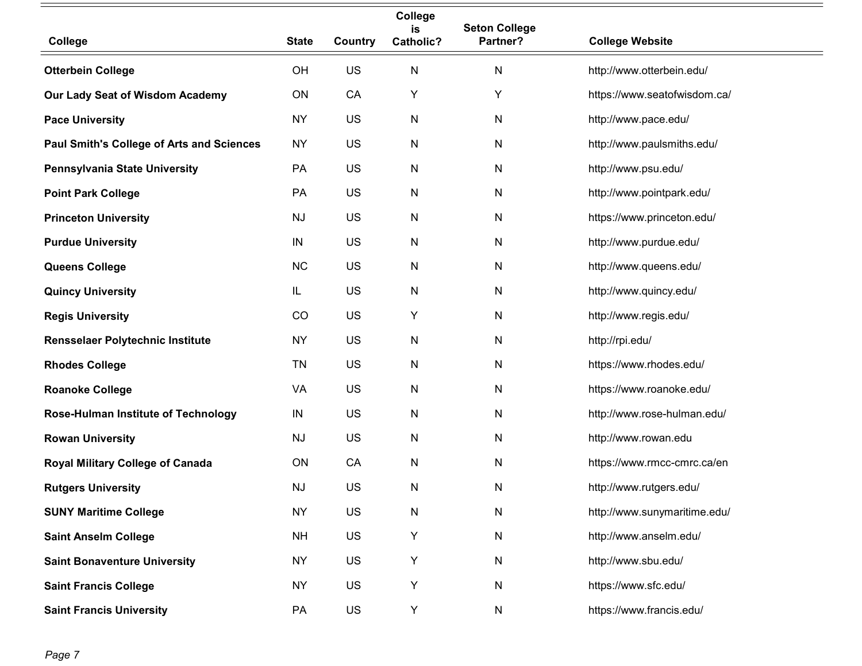|                                                  |              |         | College<br>is    | <b>Seton College</b> |                              |
|--------------------------------------------------|--------------|---------|------------------|----------------------|------------------------------|
| College                                          | <b>State</b> | Country | <b>Catholic?</b> | Partner?             | <b>College Website</b>       |
| <b>Otterbein College</b>                         | OH           | US      | N                | N                    | http://www.otterbein.edu/    |
| Our Lady Seat of Wisdom Academy                  | ON           | CA      | Υ                | Υ                    | https://www.seatofwisdom.ca/ |
| <b>Pace University</b>                           | <b>NY</b>    | US      | N                | N                    | http://www.pace.edu/         |
| <b>Paul Smith's College of Arts and Sciences</b> | <b>NY</b>    | US      | N                | N                    | http://www.paulsmiths.edu/   |
| Pennsylvania State University                    | PA           | US      | N                | N                    | http://www.psu.edu/          |
| <b>Point Park College</b>                        | PA           | US      | N                | N                    | http://www.pointpark.edu/    |
| <b>Princeton University</b>                      | <b>NJ</b>    | US      | N                | N                    | https://www.princeton.edu/   |
| <b>Purdue University</b>                         | IN           | US      | N                | N                    | http://www.purdue.edu/       |
| Queens College                                   | <b>NC</b>    | US      | N                | N                    | http://www.queens.edu/       |
| <b>Quincy University</b>                         | IL           | US      | N                | N                    | http://www.quincy.edu/       |
| <b>Regis University</b>                          | CO           | US      | Υ                | N                    | http://www.regis.edu/        |
| Rensselaer Polytechnic Institute                 | <b>NY</b>    | US      | N                | N                    | http://rpi.edu/              |
| <b>Rhodes College</b>                            | TN           | US      | N                | N                    | https://www.rhodes.edu/      |
| <b>Roanoke College</b>                           | VA           | US      | N                | N                    | https://www.roanoke.edu/     |
| <b>Rose-Hulman Institute of Technology</b>       | IN           | US      | N                | N                    | http://www.rose-hulman.edu/  |
| <b>Rowan University</b>                          | <b>NJ</b>    | US      | N                | N                    | http://www.rowan.edu         |
| Royal Military College of Canada                 | ON           | CA      | N                | N                    | https://www.rmcc-cmrc.ca/en  |
| <b>Rutgers University</b>                        | NJ           | US      | N                | N                    | http://www.rutgers.edu/      |
| <b>SUNY Maritime College</b>                     | <b>NY</b>    | US      | N                | N                    | http://www.sunymaritime.edu/ |
| <b>Saint Anselm College</b>                      | <b>NH</b>    | US      | Υ                | N                    | http://www.anselm.edu/       |
| <b>Saint Bonaventure University</b>              | <b>NY</b>    | US      | Y                | N                    | http://www.sbu.edu/          |
| <b>Saint Francis College</b>                     | <b>NY</b>    | US      | Υ                | N                    | https://www.sfc.edu/         |
| <b>Saint Francis University</b>                  | PA           | US      | Υ                | N                    | https://www.francis.edu/     |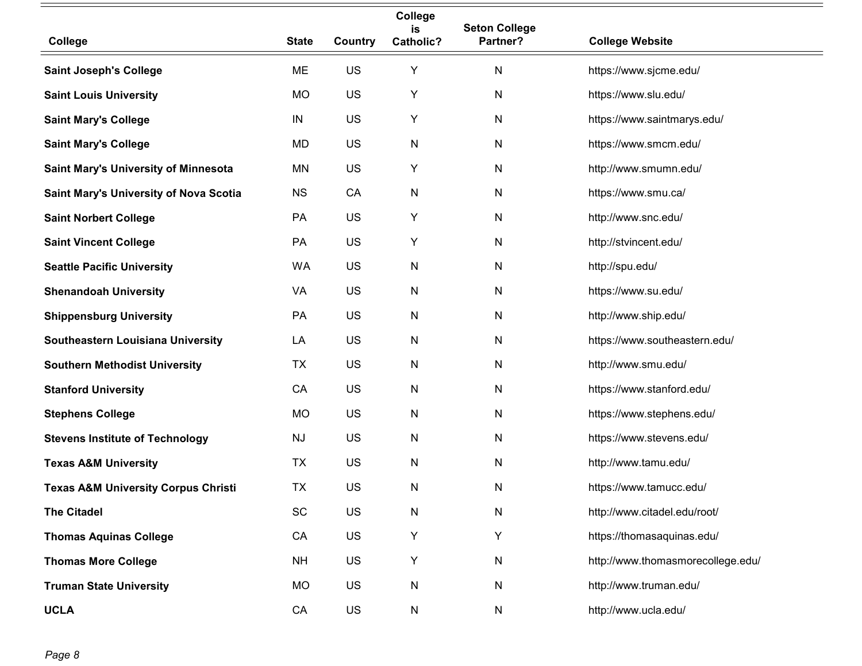|                                                |              |         | College<br>is | <b>Seton College</b> |                                   |
|------------------------------------------------|--------------|---------|---------------|----------------------|-----------------------------------|
| College                                        | <b>State</b> | Country | Catholic?     | Partner?             | <b>College Website</b>            |
| <b>Saint Joseph's College</b>                  | ME           | US      | Υ             | N                    | https://www.sjcme.edu/            |
| <b>Saint Louis University</b>                  | <b>MO</b>    | US      | Υ             | N                    | https://www.slu.edu/              |
| <b>Saint Mary's College</b>                    | IN           | US      | Υ             | N                    | https://www.saintmarys.edu/       |
| <b>Saint Mary's College</b>                    | MD           | US      | N             | N                    | https://www.smcm.edu/             |
| <b>Saint Mary's University of Minnesota</b>    | <b>MN</b>    | US      | Υ             | N                    | http://www.smumn.edu/             |
| Saint Mary's University of Nova Scotia         | <b>NS</b>    | CA      | N             | N                    | https://www.smu.ca/               |
| <b>Saint Norbert College</b>                   | PA           | US      | Υ             | N                    | http://www.snc.edu/               |
| <b>Saint Vincent College</b>                   | PA           | US      | Υ             | N                    | http://stvincent.edu/             |
| <b>Seattle Pacific University</b>              | WA           | US      | N             | N                    | http://spu.edu/                   |
| <b>Shenandoah University</b>                   | VA           | US      | N             | N                    | https://www.su.edu/               |
| <b>Shippensburg University</b>                 | PA           | US      | N             | N                    | http://www.ship.edu/              |
| Southeastern Louisiana University              | LA           | US      | N             | N                    | https://www.southeastern.edu/     |
| <b>Southern Methodist University</b>           | <b>TX</b>    | US      | N             | N                    | http://www.smu.edu/               |
| <b>Stanford University</b>                     | CA           | US      | N             | N                    | https://www.stanford.edu/         |
| <b>Stephens College</b>                        | <b>MO</b>    | US      | N             | ${\sf N}$            | https://www.stephens.edu/         |
| <b>Stevens Institute of Technology</b>         | <b>NJ</b>    | US      | N             | N                    | https://www.stevens.edu/          |
| <b>Texas A&amp;M University</b>                | TX           | US      | N             | N                    | http://www.tamu.edu/              |
| <b>Texas A&amp;M University Corpus Christi</b> | <b>TX</b>    | US      | N             | N                    | https://www.tamucc.edu/           |
| <b>The Citadel</b>                             | SC           | US      | N             | ${\sf N}$            | http://www.citadel.edu/root/      |
| <b>Thomas Aquinas College</b>                  | CA           | US      | Υ             | Υ                    | https://thomasaquinas.edu/        |
| <b>Thomas More College</b>                     | <b>NH</b>    | US      | Υ             | N                    | http://www.thomasmorecollege.edu/ |
| <b>Truman State University</b>                 | <b>MO</b>    | US      | N             | ${\sf N}$            | http://www.truman.edu/            |
| <b>UCLA</b>                                    | CA           | US      | N             | N                    | http://www.ucla.edu/              |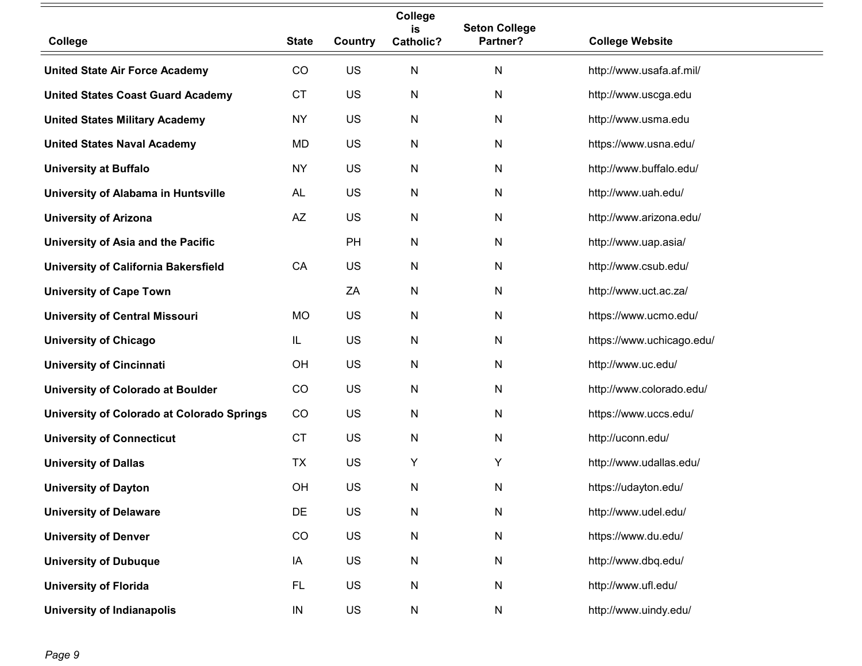|                                            |              |         | College<br>is | <b>Seton College</b> |                           |
|--------------------------------------------|--------------|---------|---------------|----------------------|---------------------------|
| College                                    | <b>State</b> | Country | Catholic?     | Partner?             | <b>College Website</b>    |
| <b>United State Air Force Academy</b>      | CO           | US      | N             | N                    | http://www.usafa.af.mil/  |
| <b>United States Coast Guard Academy</b>   | <b>CT</b>    | US      | $\mathsf{N}$  | $\mathsf{N}$         | http://www.uscga.edu      |
| <b>United States Military Academy</b>      | <b>NY</b>    | US      | N             | $\mathsf{N}$         | http://www.usma.edu       |
| <b>United States Naval Academy</b>         | MD           | US      | N             | N                    | https://www.usna.edu/     |
| <b>University at Buffalo</b>               | <b>NY</b>    | US      | N             | $\mathsf{N}$         | http://www.buffalo.edu/   |
| University of Alabama in Huntsville        | AL           | US      | ${\sf N}$     | $\mathsf{N}$         | http://www.uah.edu/       |
| <b>University of Arizona</b>               | AZ           | US      | $\mathsf{N}$  | $\mathsf{N}$         | http://www.arizona.edu/   |
| University of Asia and the Pacific         |              | PH      | N             | N                    | http://www.uap.asia/      |
| University of California Bakersfield       | CA           | US      | N             | N                    | http://www.csub.edu/      |
| <b>University of Cape Town</b>             |              | ZA      | $\mathsf{N}$  | $\mathsf{N}$         | http://www.uct.ac.za/     |
| <b>University of Central Missouri</b>      | MO           | US      | N             | N                    | https://www.ucmo.edu/     |
| <b>University of Chicago</b>               | IL           | US      | $\mathsf{N}$  | $\mathsf{N}$         | https://www.uchicago.edu/ |
| <b>University of Cincinnati</b>            | OH           | US      | N             | N                    | http://www.uc.edu/        |
| <b>University of Colorado at Boulder</b>   | CO           | US      | $\mathsf{N}$  | $\mathsf{N}$         | http://www.colorado.edu/  |
| University of Colorado at Colorado Springs | CO           | US      | $\mathsf{N}$  | $\mathsf{N}$         | https://www.uccs.edu/     |
| <b>University of Connecticut</b>           | <b>CT</b>    | US      | $\mathsf{N}$  | $\mathsf{N}$         | http://uconn.edu/         |
| <b>University of Dallas</b>                | TX           | US      | Y             | Υ                    | http://www.udallas.edu/   |
| <b>University of Dayton</b>                | OH           | US      | N             | N                    | https://udayton.edu/      |
| <b>University of Delaware</b>              | DE           | US      | ${\sf N}$     | ${\sf N}$            | http://www.udel.edu/      |
| <b>University of Denver</b>                | CO           | US      | N             | ${\sf N}$            | https://www.du.edu/       |
| <b>University of Dubuque</b>               | IA           | US      | ${\sf N}$     | ${\sf N}$            | http://www.dbq.edu/       |
| <b>University of Florida</b>               | <b>FL</b>    | US      | N             | ${\sf N}$            | http://www.ufl.edu/       |
| <b>University of Indianapolis</b>          | ${\sf IN}$   | US      | ${\sf N}$     | N                    | http://www.uindy.edu/     |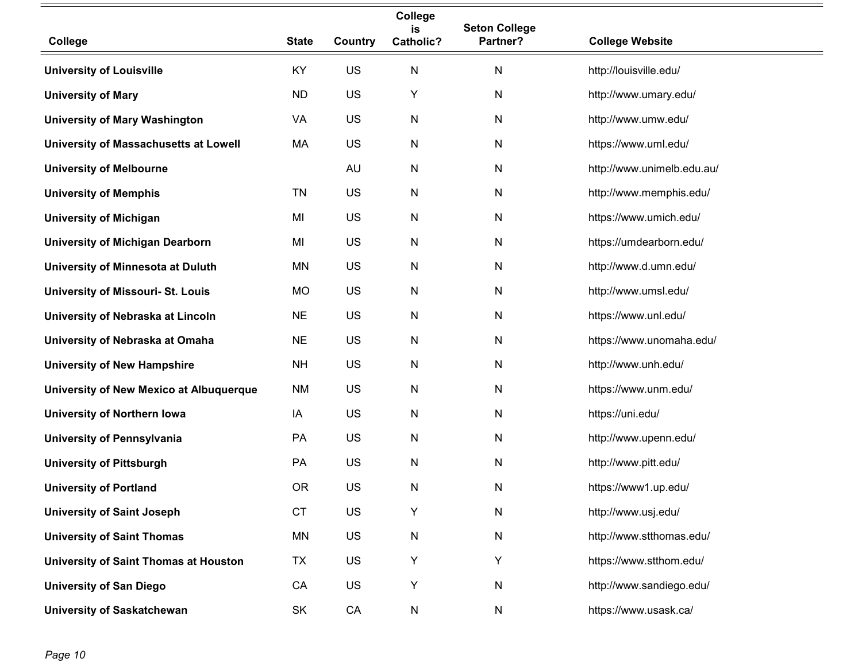|                                          |              |           | College<br>is | <b>Seton College</b> |                            |
|------------------------------------------|--------------|-----------|---------------|----------------------|----------------------------|
| College                                  | <b>State</b> | Country   | Catholic?     | Partner?             | <b>College Website</b>     |
| <b>University of Louisville</b>          | KY           | US        | $\mathsf{N}$  | N                    | http://louisville.edu/     |
| <b>University of Mary</b>                | <b>ND</b>    | US        | Y             | $\mathsf{N}$         | http://www.umary.edu/      |
| <b>University of Mary Washington</b>     | VA           | US        | N             | ${\sf N}$            | http://www.umw.edu/        |
| University of Massachusetts at Lowell    | MA           | US        | ${\sf N}$     | $\mathsf{N}$         | https://www.uml.edu/       |
| <b>University of Melbourne</b>           |              | <b>AU</b> | ${\sf N}$     | $\mathsf{N}$         | http://www.unimelb.edu.au/ |
| <b>University of Memphis</b>             | <b>TN</b>    | US        | ${\sf N}$     | ${\sf N}$            | http://www.memphis.edu/    |
| <b>University of Michigan</b>            | MI           | US        | N             | $\mathsf{N}$         | https://www.umich.edu/     |
| <b>University of Michigan Dearborn</b>   | MI           | US        | ${\sf N}$     | N                    | https://umdearborn.edu/    |
| University of Minnesota at Duluth        | ΜN           | US        | N             | N                    | http://www.d.umn.edu/      |
| <b>University of Missouri- St. Louis</b> | <b>MO</b>    | US        | $\mathsf{N}$  | $\mathsf{N}$         | http://www.umsl.edu/       |
| University of Nebraska at Lincoln        | <b>NE</b>    | US        | N             | N                    | https://www.unl.edu/       |
| University of Nebraska at Omaha          | <b>NE</b>    | US        | N             | $\mathsf{N}$         | https://www.unomaha.edu/   |
| <b>University of New Hampshire</b>       | <b>NH</b>    | US        | N             | N                    | http://www.unh.edu/        |
| University of New Mexico at Albuquerque  | <b>NM</b>    | US        | ${\sf N}$     | ${\sf N}$            | https://www.unm.edu/       |
| <b>University of Northern lowa</b>       | IA           | US        | $\mathsf{N}$  | ${\sf N}$            | https://uni.edu/           |
| <b>University of Pennsylvania</b>        | PA           | US        | N             | N                    | http://www.upenn.edu/      |
| <b>University of Pittsburgh</b>          | PA           | US        | ${\sf N}$     | ${\sf N}$            | http://www.pitt.edu/       |
| <b>University of Portland</b>            | <b>OR</b>    | US        | N             | N                    | https://www1.up.edu/       |
| <b>University of Saint Joseph</b>        | <b>CT</b>    | US        | Y             | ${\sf N}$            | http://www.usj.edu/        |
| <b>University of Saint Thomas</b>        | MN           | US        | ${\sf N}$     | ${\sf N}$            | http://www.stthomas.edu/   |
| University of Saint Thomas at Houston    | TX           | US        | Υ             | Y                    | https://www.stthom.edu/    |
| <b>University of San Diego</b>           | CA           | US        | Υ             | ${\sf N}$            | http://www.sandiego.edu/   |
| <b>University of Saskatchewan</b>        | SK           | CA        | ${\sf N}$     | ${\sf N}$            | https://www.usask.ca/      |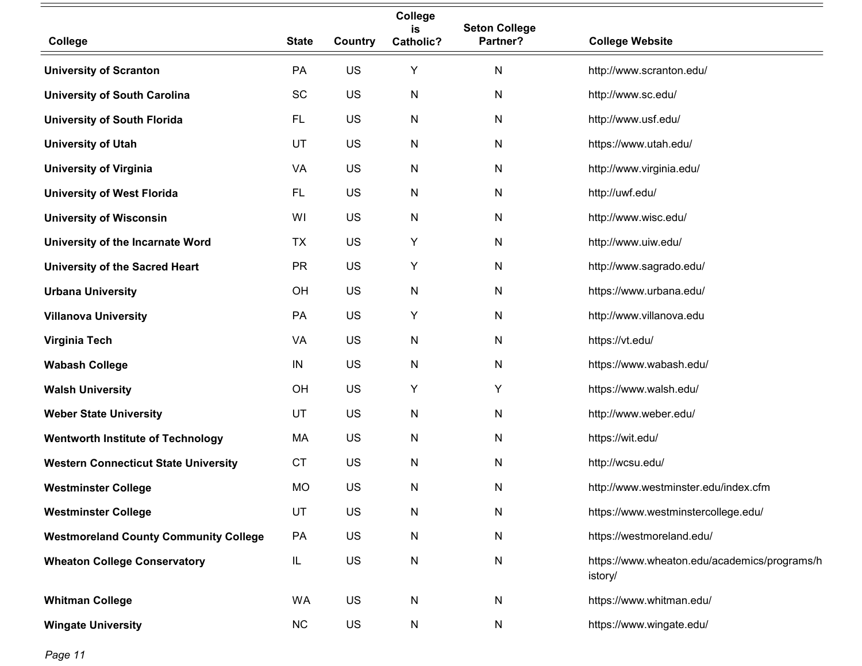|                                              |              |         | College<br>is    | <b>Seton College</b> |                                                         |
|----------------------------------------------|--------------|---------|------------------|----------------------|---------------------------------------------------------|
| College                                      | <b>State</b> | Country | <b>Catholic?</b> | Partner?             | <b>College Website</b>                                  |
| <b>University of Scranton</b>                | PA           | US      | Υ                | N                    | http://www.scranton.edu/                                |
| <b>University of South Carolina</b>          | SC           | US      | ${\sf N}$        | N                    | http://www.sc.edu/                                      |
| <b>University of South Florida</b>           | <b>FL</b>    | US      | N                | N                    | http://www.usf.edu/                                     |
| <b>University of Utah</b>                    | UT           | US      | ${\sf N}$        | N                    | https://www.utah.edu/                                   |
| <b>University of Virginia</b>                | VA           | US      | N                | N                    | http://www.virginia.edu/                                |
| <b>University of West Florida</b>            | <b>FL</b>    | US      | $\mathsf{N}$     | N                    | http://uwf.edu/                                         |
| <b>University of Wisconsin</b>               | WI           | US      | $\mathsf{N}$     | $\mathsf{N}$         | http://www.wisc.edu/                                    |
| University of the Incarnate Word             | <b>TX</b>    | US      | Υ                | N                    | http://www.uiw.edu/                                     |
| <b>University of the Sacred Heart</b>        | <b>PR</b>    | US      | Υ                | N                    | http://www.sagrado.edu/                                 |
| <b>Urbana University</b>                     | OH           | US      | N                | N                    | https://www.urbana.edu/                                 |
| <b>Villanova University</b>                  | PA           | US      | Y                | N                    | http://www.villanova.edu                                |
| Virginia Tech                                | VA           | US      | $\mathsf{N}$     | N                    | https://vt.edu/                                         |
| <b>Wabash College</b>                        | IN           | US      | N                | N                    | https://www.wabash.edu/                                 |
| <b>Walsh University</b>                      | OH           | US      | Υ                | Υ                    | https://www.walsh.edu/                                  |
| <b>Weber State University</b>                | UT           | US      | N                | $\mathsf{N}$         | http://www.weber.edu/                                   |
| <b>Wentworth Institute of Technology</b>     | МA           | US      | $\mathsf{N}$     | N                    | https://wit.edu/                                        |
| <b>Western Connecticut State University</b>  | <b>CT</b>    | US      | $\mathsf{N}$     | N                    | http://wcsu.edu/                                        |
| <b>Westminster College</b>                   | MO           | US      | N                | N                    | http://www.westminster.edu/index.cfm                    |
| <b>Westminster College</b>                   | UT           | US      | $\mathsf{N}$     | $\mathsf{N}$         | https://www.westminstercollege.edu/                     |
| <b>Westmoreland County Community College</b> | PA           | US      | $\mathsf{N}$     | N                    | https://westmoreland.edu/                               |
| <b>Wheaton College Conservatory</b>          | IL           | US      | ${\sf N}$        | $\mathsf{N}$         | https://www.wheaton.edu/academics/programs/h<br>istory/ |
| <b>Whitman College</b>                       | WA           | US      | N                | $\mathsf{N}$         | https://www.whitman.edu/                                |
| <b>Wingate University</b>                    | NC           | US      | N                | N                    | https://www.wingate.edu/                                |

*Page 11*